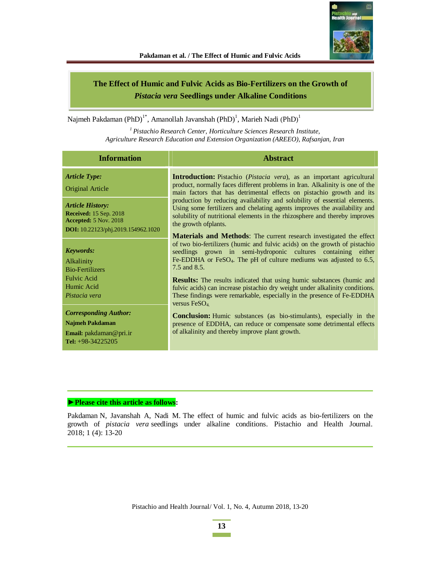

# **The Effect of Humic and Fulvic Acids as Bio-Fertilizers on the Growth of**  *Pistacia vera* **Seedlings under Alkaline Conditions**

Najmeh Pakdaman (PhD)<sup>1\*</sup>, Amanollah Javanshah (PhD)<sup>1</sup>, Marieh Nadi (PhD)<sup>1</sup>

*<sup>1</sup>Pistachio Research Center, Horticulture Sciences Research Institute, Agriculture Research Education and Extension Organization (AREEO), Rafsanjan, Iran* 

| <b>Information</b>                                                                                                                    | <b>Abstract</b>                                                                                                                                                                                                                                                                                                                                                                                                                                                                                |
|---------------------------------------------------------------------------------------------------------------------------------------|------------------------------------------------------------------------------------------------------------------------------------------------------------------------------------------------------------------------------------------------------------------------------------------------------------------------------------------------------------------------------------------------------------------------------------------------------------------------------------------------|
| <b>Article Type:</b><br>Original Article                                                                                              | <b>Introduction:</b> Pistachio ( <i>Pistacia vera</i> ), as an important agricultural<br>product, normally faces different problems in Iran. Alkalinity is one of the<br>main factors that has detrimental effects on pistachio growth and its                                                                                                                                                                                                                                                 |
| <b>Article History:</b><br><b>Received: 15 Sep. 2018</b><br><b>Accepted:</b> 5 Nov. 2018<br><b>DOI:</b> 10.22123/phj.2019.154962.1020 | production by reducing availability and solubility of essential elements.<br>Using some fertilizers and chelating agents improves the availability and<br>solubility of nutritional elements in the rhizosphere and thereby improves<br>the growth of plants.                                                                                                                                                                                                                                  |
| <b>Keywords:</b><br><b>Alkalinity</b><br><b>Bio-Fertilizers</b><br>Fulvic Acid<br>Humic Acid                                          | <b>Materials and Methods:</b> The current research investigated the effect<br>of two bio-fertilizers (humic and fulvic acids) on the growth of pistachio<br>seedlings grown in semi-hydroponic cultures containing either<br>Fe-EDDHA or FeSO <sub>4</sub> . The pH of culture mediums was adjusted to $6.5$ ,<br>7.5 and 8.5.<br><b>Results:</b> The results indicated that using humic substances (humic and<br>fulvic acids) can increase pistachio dry weight under alkalinity conditions. |
| Pistacia vera<br><b>Corresponding Author:</b><br>Najmeh Pakdaman<br><b>Email:</b> $pakdaman@pri.in$<br>Tel: $+98-34225205$            | These findings were remarkable, especially in the presence of Fe-EDDHA<br>versus $FeSO4$<br><b>Conclusion:</b> Humic substances (as bio-stimulants), especially in the<br>presence of EDDHA, can reduce or compensate some detrimental effects<br>of alkalinity and thereby improve plant growth.                                                                                                                                                                                              |

#### ▶ Please cite this article as follows:

Pakdaman N, Javanshah A, Nadi M. The effect of humic and fulvic acids as bio-fertilizers on the growth of *pistacia vera* seedlings under alkaline conditions. Pistachio and Health Journal. 2018; 1 (4): 13-20

Pistachio and Health Journal/ Vol. 1, No. 4, Autumn 2018, 13-20

**13 Contract Contract**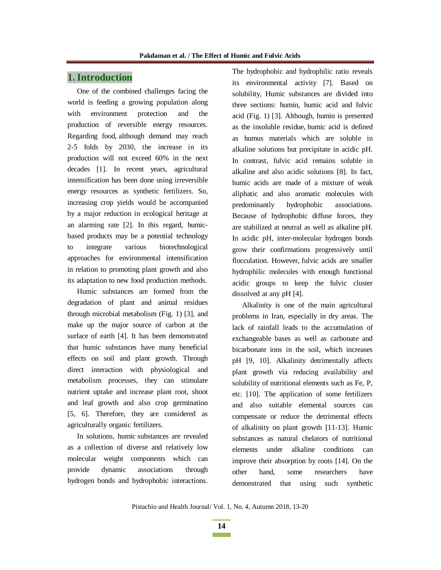# **1.Introduction**

One of the combined challenges facing the world is feeding a growing population along with environment protection and the production of reversible energy resources. Regarding food, although demand may reach 2-5 folds by 2030, the increase in its production will not exceed 60% in the next decades [1]. In recent years, agricultural intensification has been done using irreversible energy resources as synthetic fertilizers. So, increasing crop yields would be accompanied by a major reduction in ecological heritage at an alarming rate [2]. In this regard, humicbased products may be a potential technology to integrate various biotechnological approaches for environmental intensification in relation to promoting plant growth and also its adaptation to new food production methods.

Humic substances are formed from the degradation of plant and animal residues through microbial metabolism (Fig. 1) [3], and make up the major source of carbon at the surface of earth [4]. It has been demonstrated that humic substances have many beneficial effects on soil and plant growth. Through direct interaction with physiological and metabolism processes, they can stimulate nutrient uptake and increase plant root, shoot and leaf growth and also crop germination [5, 6]. Therefore, they are considered as agriculturally organic fertilizers.

In solutions, humic substances are revealed as a collection of diverse and relatively low molecular weight components which can provide dynamic associations through hydrogen bonds and hydrophobic interactions. The hydrophobic and hydrophilic ratio reveals its environmental activity [7]. Based on solubility, Humic substances are divided into three sections: humin, humic acid and fulvic acid (Fig. 1) [3]. Although, humin is presented as the insoluble residue, humic acid is defined as humus materials which are soluble in alkaline solutions but precipitate in acidic pH. In contrast, fulvic acid remains soluble in alkaline and also acidic solutions [8]. In fact, humic acids are made of a mixture of weak aliphatic and also aromatic molecules with predominantly hydrophobic associations. Because of hydrophobic diffuse forces, they are stabilized at neutral as well as alkaline pH. In acidic pH, inter-molecular hydrogen bonds grow their confirmations progressively until flocculation. However, fulvic acids are smaller hydrophilic molecules with enough functional acidic groups to keep the fulvic cluster dissolved at any pH [4].

Alkalinity is one of the main agricultural problems in Iran, especially in dry areas. The lack of rainfall leads to the accumulation of exchangeable bases as well as carbonate and bicarbonate ions in the soil, which increases pH [9, 10]. Alkalinity detrimentally affects plant growth via reducing availability and solubility of nutritional elements such as Fe, P, etc. [10]. The application of some fertilizers and also suitable elemental sources can compensate or reduce the detrimental effects of alkalinity on plant growth [11-13]. Humic substances as natural chelators of nutritional elements under alkaline conditions can improve their absorption by roots [14]. On the other hand, some researchers have demonstrated that using such synthetic

**14**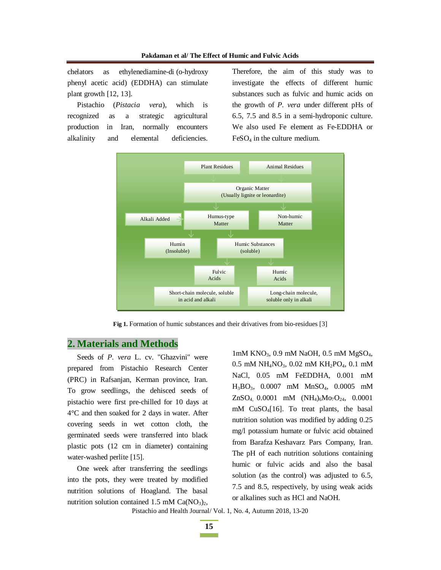chelators as ethylenediamine-di (o-hydroxy phenyl acetic acid) (EDDHA) can stimulate plant growth [12, 13].

Pistachio (*Pistacia vera*), which is recognized as a strategic agricultural production in Iran, normally encounters alkalinity and elemental deficiencies.

Therefore, the aim of this study was to investigate the effects of different humic substances such as fulvic and humic acids on the growth of *P. vera* under different pHs of 6.5, 7.5 and 8.5 in a semi-hydroponic culture. We also used Fe element as Fe-EDDHA or FeSO4 in the culture medium.



Fig 1. Formation of humic substances and their drivatives from bio-residues [3]

### **2. Materials and Methods**

Seeds of *P. vera* L. cv. "Ghazvini" were prepared from Pistachio Research Center (PRC) in Rafsanjan, Kerman province, Iran. To grow seedlings, the dehisced seeds of pistachio were first pre-chilled for 10 days at 4°C and then soaked for 2 days in water. After covering seeds in wet cotton cloth, the germinated seeds were transferred into black plastic pots (12 cm in diameter) containing water-washed perlite [15].

One week after transferring the seedlings into the pots, they were treated by modified nutrition solutions of Hoagland. The basal nutrition solution contained 1.5 mM  $Ca(NO<sub>3</sub>)<sub>2</sub>$ , 1mM KNO<sub>3</sub>, 0.9 mM NaOH, 0.5 mM MgSO<sub>4</sub>, 0.5 mM NH<sub>4</sub>NO<sub>3</sub>, 0.02 mM KH<sub>2</sub>PO<sub>4</sub>, 0.1 mM NaCl, 0.05 mM FeEDDHA, 0.001 mM H3BO3, 0.0007 mM MnSO4, 0.0005 mM  $ZnSO_4$  0.0001 mM  $(NH_4)_6Mo_7O_{24}$ , 0.0001 mM CuSO4[16]. To treat plants, the basal nutrition solution was modified by adding 0.25 mg/l potassium humate or fulvic acid obtained from Barafza Keshavarz Pars Company, Iran. The pH of each nutrition solutions containing humic or fulvic acids and also the basal solution (as the control) was adjusted to 6.5, 7.5 and 8.5, respectively, by using weak acids or alkalines such as HCl and NaOH.

Pistachio and Health Journal/ Vol. 1, No. 4, Autumn 2018, 13-20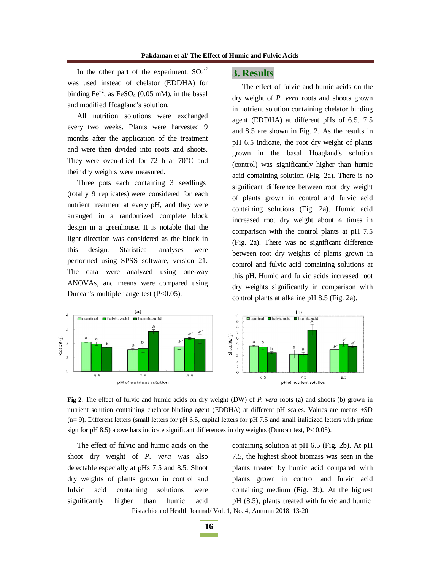In the other part of the experiment,  $SO_4^2$ was used instead of chelator (EDDHA) for binding  $Fe^{+2}$ , as  $FeSO<sub>4</sub>$  (0.05 mM), in the basal and modified Hoagland's solution.

All nutrition solutions were exchanged every two weeks. Plants were harvested 9 months after the application of the treatment and were then divided into roots and shoots. They were oven-dried for 72 h at 70°C and their dry weights were measured.

Three pots each containing 3 seedlings (totally 9 replicates) were considered for each nutrient treatment at every pH, and they were arranged in a randomized complete block design in a greenhouse. It is notable that the light direction was considered as the block in this design. Statistical analyses were performed using SPSS software, version 21. The data were analyzed using one-way ANOVAs, and means were compared using Duncan's multiple range test (P<0.05).

### **3. Results**

The effect of fulvic and humic acids on the dry weight of *P. vera* roots and shoots grown in nutrient solution containing chelator binding agent (EDDHA) at different pHs of 6.5, 7.5 and 8.5 are shown in Fig. 2. As the results in pH 6.5 indicate, the root dry weight of plants grown in the basal Hoagland's solution (control) was significantly higher than humic acid containing solution (Fig. 2a). There is no significant difference between root dry weight of plants grown in control and fulvic acid containing solutions (Fig. 2a). Humic acid increased root dry weight about 4 times in comparison with the control plants at pH 7.5 (Fig. 2a). There was no significant difference between root dry weights of plants grown in control and fulvic acid containing solutions at this pH. Humic and fulvic acids increased root dry weights significantly in comparison with control plants at alkaline pH 8.5 (Fig. 2a).



**Fig 2**. The effect of fulvic and humic acids on dry weight (DW) of *P. vera* roots (a) and shoots (b) grown in nutrient solution containing chelator binding agent (EDDHA) at different pH scales. Values are means ±SD  $(n= 9)$ . Different letters (small letters for pH 6.5, capital letters for pH 7.5 and small italicized letters with prime sign for pH 8.5) above bars indicate significant differences in dry weights (Duncan test,  $P < 0.05$ ).

The effect of fulvic and humic acids on the shoot dry weight of *P. vera* was also detectable especially at pHs 7.5 and 8.5. Shoot dry weights of plants grown in control and fulvic acid containing solutions were significantly higher than humic acid

Pistachio and Health Journal/ Vol. 1, No. 4, Autumn 2018, 13-20 containing solution at pH 6.5 (Fig. 2b). At pH 7.5, the highest shoot biomass was seen in the plants treated by humic acid compared with plants grown in control and fulvic acid containing medium (Fig. 2b). At the highest pH (8.5), plants treated with fulvic and humic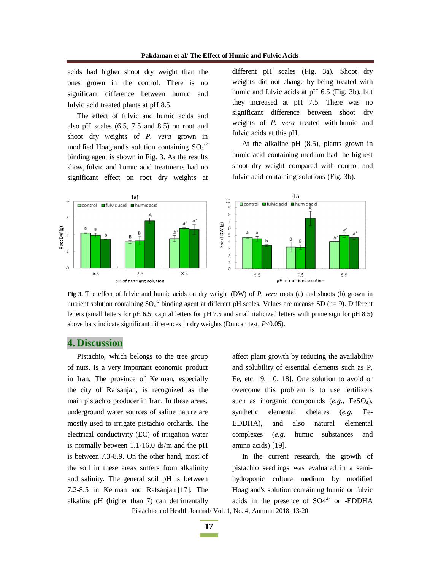acids had higher shoot dry weight than the ones grown in the control. There is no significant difference between humic and fulvic acid treated plants at pH 8.5.

The effect of fulvic and humic acids and also pH scales (6.5, 7.5 and 8.5) on root and shoot dry weights of *P. vera* grown in modified Hoagland's solution containing  $SO_4^{-2}$ binding agent is shown in Fig. 3. As the results show, fulvic and humic acid treatments had no significant effect on root dry weights at different pH scales (Fig. 3a). Shoot dry weights did not change by being treated with humic and fulvic acids at pH 6.5 (Fig. 3b), but they increased at pH 7.5. There was no significant difference between shoot dry weights of *P. vera* treated with humic and fulvic acids at this pH.

At the alkaline pH (8.5), plants grown in humic acid containing medium had the highest shoot dry weight compared with control and fulvic acid containing solutions (Fig. 3b).



**Fig 3.** The effect of fulvic and humic acids on dry weight (DW) of *P. vera* roots (a) and shoots (b) grown in nutrient solution containing  $SO_4^{-2}$  binding agent at different pH scales. Values are means $\pm$  SD (n= 9). Different letters (small letters for pH 6.5, capital letters for pH 7.5 and small italicized letters with prime sign for pH 8.5) above bars indicate significant differences in dry weights (Duncan test, *P*<0.05).

#### **4. Discussion**

Pistachio, which belongs to the tree group of nuts, is a very important economic product in Iran. The province of Kerman, especially the city of Rafsanjan, is recognized as the main pistachio producer in Iran. In these areas, underground water sources of saline nature are mostly used to irrigate pistachio orchards. The electrical conductivity (EC) of irrigation water is normally between 1.1-16.0 ds/m and the pH is between 7.3-8.9. On the other hand, most of the soil in these areas suffers from alkalinity and salinity. The general soil pH is between 7.2-8.5 in Kerman and Rafsanjan [17]. The alkaline pH (higher than 7) can detrimentally affect plant growth by reducing the availability and solubility of essential elements such as P, Fe, etc. [9, 10, 18]. One solution to avoid or overcome this problem is to use fertilizers such as inorganic compounds  $(e.g., FeSO<sub>4</sub>)$ , synthetic elemental chelates (*e.g*. Fe-EDDHA), and also natural elemental complexes (*e.g*. humic substances and amino acids) [19].

Pistachio and Health Journal/ Vol. 1, No. 4, Autumn 2018, 13-20 In the current research, the growth of pistachio seedlings was evaluated in a semihydroponic culture medium by modified Hoagland's solution containing humic or fulvic acids in the presence of  $SO4^{2-}$  or -EDDHA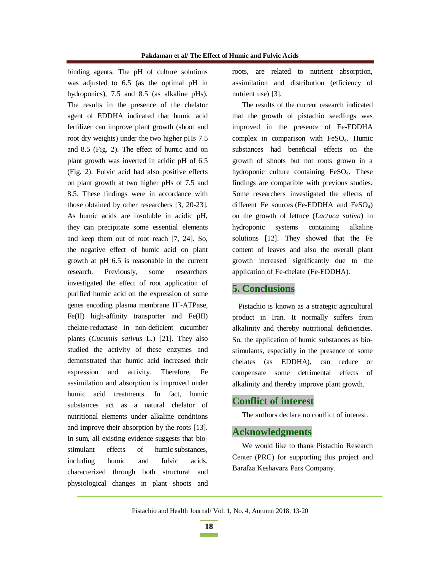binding agents. The pH of culture solutions was adjusted to 6.5 (as the optimal pH in hydroponics), 7.5 and 8.5 (as alkaline pHs). The results in the presence of the chelator agent of EDDHA indicated that humic acid fertilizer can improve plant growth (shoot and root dry weights) under the two higher pHs 7.5 and 8.5 (Fig. 2). The effect of humic acid on plant growth was inverted in acidic pH of 6.5 (Fig. 2). Fulvic acid had also positive effects on plant growth at two higher pHs of 7.5 and 8.5. These findings were in accordance with those obtained by other researchers [3, 20-23]. As humic acids are insoluble in acidic pH, they can precipitate some essential elements and keep them out of root reach [7, 24]. So, the negative effect of humic acid on plant growth at pH 6.5 is reasonable in the current research. Previously, some researchers investigated the effect of root application of purified humic acid on the expression of some genes encoding plasma membrane H<sup>+</sup>-ATPase, Fe(II) high-affinity transporter and Fe(III) chelate-reductase in non-deficient cucumber plants (*Cucumis sativus* L.) [21]. They also studied the activity of these enzymes and demonstrated that humic acid increased their expression and activity. Therefore, Fe assimilation and absorption is improved under humic acid treatments. In fact, humic substances act as a natural chelator of nutritional elements under alkaline conditions and improve their absorption by the roots [13]. In sum, all existing evidence suggests that biostimulant effects of humic substances, including humic and fulvic acids, characterized through both structural and physiological changes in plant shoots and

roots, are related to nutrient absorption, assimilation and distribution (efficiency of nutrient use) [3].

The results of the current research indicated that the growth of pistachio seedlings was improved in the presence of Fe-EDDHA complex in comparison with FeSO4. Humic substances had beneficial effects on the growth of shoots but not roots grown in a hydroponic culture containing FeSO4. These findings are compatible with previous studies. Some researchers investigated the effects of different Fe sources (Fe-EDDHA and  $FeSO<sub>4</sub>$ ) on the growth of lettuce (*Lactuca sativa*) in hydroponic systems containing alkaline solutions [12]. They showed that the Fe content of leaves and also the overall plant growth increased significantly due to the application of Fe-chelate (Fe-EDDHA).

### **5. Conclusions**

Pistachio is known as a strategic agricultural product in Iran. It normally suffers from alkalinity and thereby nutritional deficiencies. So, the application of humic substances as biostimulants, especially in the presence of some chelates (as EDDHA), can reduce or compensate some detrimental effects of alkalinity and thereby improve plant growth.

# **Conflict of interest**

The authors declare no conflict of interest.

### **Acknowledgments**

We would like to thank Pistachio Research Center (PRC) for supporting this project and Barafza Keshavarz Pars Company.

**18 Contract Contract**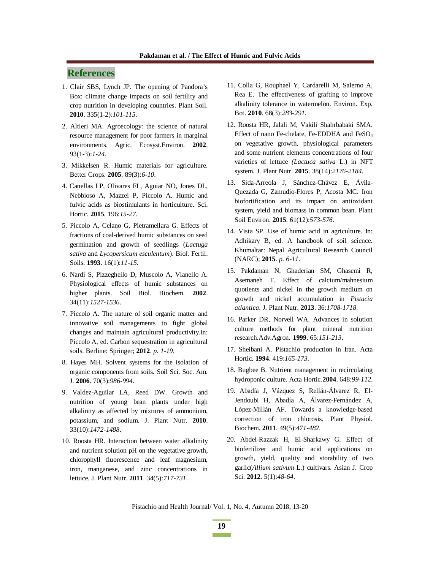# **References**

- 1. Clair SBS, Lynch JP. The opening of Pandora's Box: climate change impacts on soil fertility and crop nutrition in developing countries. Plant Soil. **2010**. 335(1-2):*101-115*.
- 2. Altieri MA. Agroecology: the science of natural resource management for poor farmers in marginal environments. Agric. Ecosyst.Environ. **2002**. 93(1-3):*1-24*.
- 3. Mikkelsen R. Humic materials for agriculture. Better Crops. **2005**. 89(3):*6-10*.
- 4. Canellas LP, Olivares FL, Aguiar NO, Jones DL, Nebbioso A, Mazzei P, Piccolo A. Humic and fulvic acids as biostimulants in horticulture. Sci. Hortic. **2015**. 196:*15-27*.
- 5. Piccolo A, Celano G, Pietramellara G. Effects of fractions of coal-derived humic substances on seed germination and growth of seedlings (*Lactuga sativa* and *Lycopersicum esculentum*). Biol. Fertil. Soils. **1993**. 16(1):*11-15*.
- 6. Nardi S, Pizzeghello D, Muscolo A, Vianello A. Physiological effects of humic substances on higher plants. Soil Biol. Biochem. **2002**. 34(11):*1527-1536*.
- 7. Piccolo A. The nature of soil organic matter and innovative soil managements to fight global changes and maintain agricultural productivity.In: Piccolo A, ed. Carbon sequestration in agricultural soils. Berline: Springer; **2012**. *p. 1-19*.
- 8. Hayes MH. Solvent systems for the isolation of organic components from soils. Soil Sci. Soc. Am. J. **2006**. 70(3):*986-994*.
- 9. Valdez-Aguilar LA, Reed DW. Growth and nutrition of young bean plants under high alkalinity as affected by mixtures of ammonium, potassium, and sodium. J. Plant Nutr. **2010**. 33(10):*1472-1488*.
- 10. Roosta HR. Interaction between water alkalinity and nutrient solution pH on the vegetative growth, chlorophyll fluorescence and leaf magnesium, iron, manganese, and zinc concentrations in lettuce. J. Plant Nutr. **2011**. 34(5):*717-731*.
- 11. Colla G, Rouphael Y, Cardarelli M, Salerno A, Rea E. The effectiveness of grafting to improve alkalinity tolerance in watermelon. Environ. Exp. Bot. **2010**. 68(3):*283-291*.
- 12. Roosta HR, Jalali M, Vakili Shahrbabaki SMA. Effect of nano Fe-chelate, Fe-EDDHA and FeSO<sup>4</sup> on vegetative growth, physiological parameters and some nutrient elements concentrations of four varieties of lettuce *(Lactuca sativa* L.) in NFT system. J. Plant Nutr. **2015**. 38(14):*2176-2184*.
- 13. Sida-Arreola J, Sánchez-Chávez E, Ávila-Quezada G, Zamudio-Flores P, Acosta MC. Iron biofortification and its impact on antioxidant system, yield and biomass in common bean. Plant Soil Environ. **2015**. 61(12):*573-576*.
- 14. Vista SP. Use of humic acid in agriculture. In: Adhikary B, ed. A handbook of soil science. Khumaltar: Nepal Agricultural Research Council (NARC); **2015**. *p. 6-11*.
- 15. Pakdaman N, Ghaderian SM, Ghasemi R, Asemaneh T. Effect of calcium/mahnesium quotients and nickel in the growth medium on growth and nickel accumulation in *Pistacia atlantica*. J. Plant Nutr. **2013**. 36:*1708-1718*.
- 16. Parker DR, Norvell WA. Advances in solution culture methods for plant mineral nutrition research.Adv.Agron. **1999**. 65:*151-213*.
- 17. Sheibani A. Pistachio production in Iran. Acta Hortic. **1994**. 419:*165-173*.
- 18. Bugbee B. Nutrient management in recirculating hydroponic culture. Acta Hortic.**2004**. 648:*99-112.*
- 19. Abadía J, Vázquez S, Rellán-Álvarez R, El-Jendoubi H, Abadía A, Álvarez-Fernández A, López-Millán AF. Towards a knowledge-based correction of iron chlorosis. Plant Physiol. Biochem. **2011**. 49(5):*471-482*.
- 20. Abdel-Razzak H, El-Sharkawy G. Effect of biofertilizer and humic acid applications on growth, yield, quality and storability of two garlic(*Allium sativum* L.) cultivars. Asian J. Crop Sci. **2012**. 5(1):*48-64*.

Pistachio and Health Journal/ Vol. 1, No. 4, Autumn 2018, 13-20

**19**